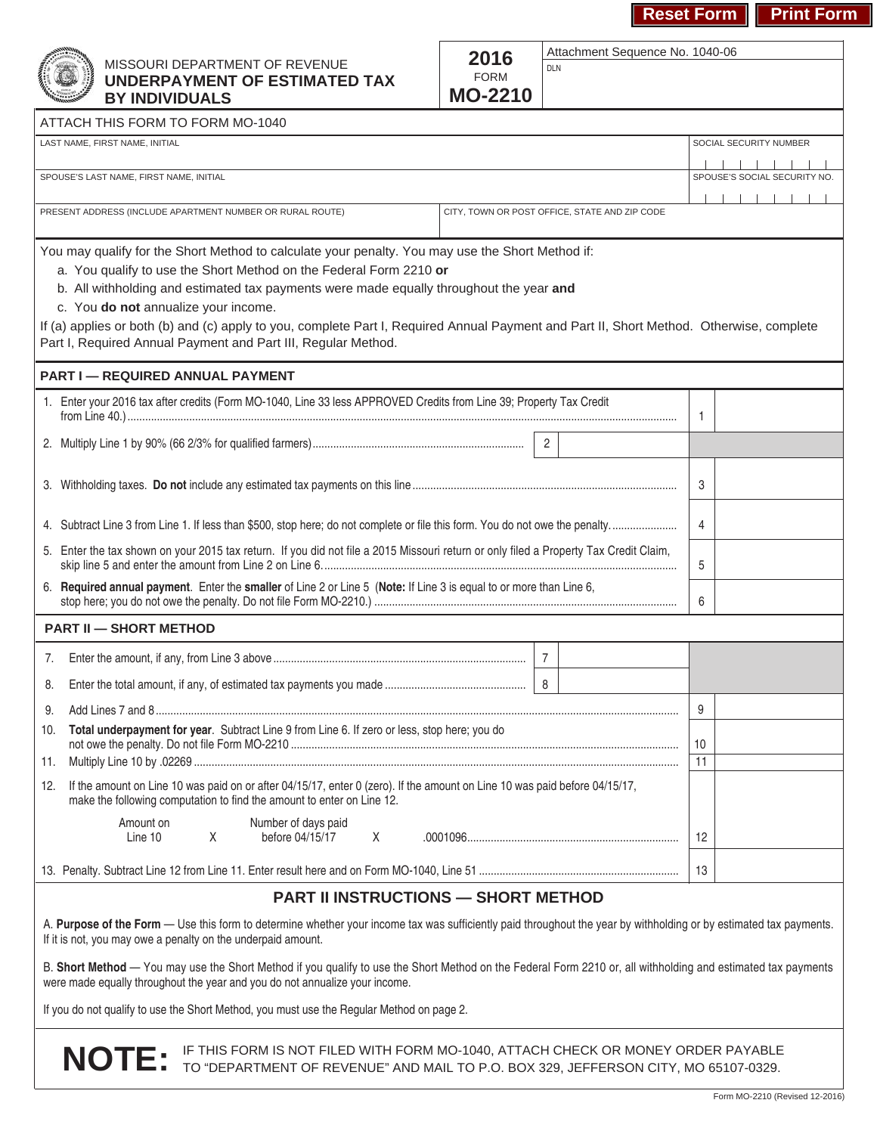Attachment Sequence No. 1040-06





### MISSOURI DEPARTMENT OF REVENUE **UNDERPAYMENT OF ESTIMATED TAX BY INDIVIDUALS**

| 2016           |
|----------------|
| <b>FORM</b>    |
| <b>MO-2210</b> |

DLN

| ATTACH THIS FORM TO FORM MO-1040                                                                                                                                                                                                             |                              |
|----------------------------------------------------------------------------------------------------------------------------------------------------------------------------------------------------------------------------------------------|------------------------------|
| LAST NAME, FIRST NAME, INITIAL                                                                                                                                                                                                               | SOCIAL SECURITY NUMBER       |
|                                                                                                                                                                                                                                              |                              |
| SPOUSE'S LAST NAME, FIRST NAME, INITIAL                                                                                                                                                                                                      | SPOUSE'S SOCIAL SECURITY NO. |
| PRESENT ADDRESS (INCLUDE APARTMENT NUMBER OR RURAL ROUTE)<br>CITY, TOWN OR POST OFFICE, STATE AND ZIP CODE                                                                                                                                   |                              |
|                                                                                                                                                                                                                                              |                              |
| You may qualify for the Short Method to calculate your penalty. You may use the Short Method if:                                                                                                                                             |                              |
| a. You qualify to use the Short Method on the Federal Form 2210 or                                                                                                                                                                           |                              |
| b. All withholding and estimated tax payments were made equally throughout the year and                                                                                                                                                      |                              |
| c. You do not annualize your income.                                                                                                                                                                                                         |                              |
| If (a) applies or both (b) and (c) apply to you, complete Part I, Required Annual Payment and Part II, Short Method. Otherwise, complete                                                                                                     |                              |
| Part I, Required Annual Payment and Part III, Regular Method.                                                                                                                                                                                |                              |
| <b>PART I - REQUIRED ANNUAL PAYMENT</b>                                                                                                                                                                                                      |                              |
| 1. Enter your 2016 tax after credits (Form MO-1040, Line 33 less APPROVED Credits from Line 39; Property Tax Credit                                                                                                                          |                              |
|                                                                                                                                                                                                                                              | 1                            |
| $\overline{2}$                                                                                                                                                                                                                               |                              |
|                                                                                                                                                                                                                                              |                              |
|                                                                                                                                                                                                                                              | 3                            |
|                                                                                                                                                                                                                                              |                              |
|                                                                                                                                                                                                                                              | 4                            |
| 5. Enter the tax shown on your 2015 tax return. If you did not file a 2015 Missouri return or only filed a Property Tax Credit Claim,                                                                                                        |                              |
|                                                                                                                                                                                                                                              | 5                            |
| 6. Required annual payment. Enter the smaller of Line 2 or Line 5 (Note: If Line 3 is equal to or more than Line 6,                                                                                                                          | 6                            |
| <b>PART II - SHORT METHOD</b>                                                                                                                                                                                                                |                              |
| $\overline{7}$<br>7.                                                                                                                                                                                                                         |                              |
| 8<br>8.                                                                                                                                                                                                                                      |                              |
| 9.                                                                                                                                                                                                                                           | 9                            |
| Total underpayment for year. Subtract Line 9 from Line 6. If zero or less, stop here; you do<br>10.                                                                                                                                          |                              |
|                                                                                                                                                                                                                                              | 10                           |
| 11.                                                                                                                                                                                                                                          | 11                           |
| If the amount on Line 10 was paid on or after 04/15/17, enter 0 (zero). If the amount on Line 10 was paid before 04/15/17,<br>12.<br>make the following computation to find the amount to enter on Line 12.                                  |                              |
| Amount on<br>Number of days paid                                                                                                                                                                                                             |                              |
| Χ<br>before 04/15/17<br>Line 10<br>Χ                                                                                                                                                                                                         | 12                           |
|                                                                                                                                                                                                                                              | 13                           |
| <b>PART II INSTRUCTIONS - SHORT METHOD</b>                                                                                                                                                                                                   |                              |
| A. Purpose of the Form - Use this form to determine whether your income tax was sufficiently paid throughout the year by withholding or by estimated tax payments.<br>If it is not, you may owe a penalty on the underpaid amount.           |                              |
| B. Short Method - You may use the Short Method if you qualify to use the Short Method on the Federal Form 2210 or, all withholding and estimated tax payments<br>were made equally throughout the year and you do not annualize your income. |                              |
| If you do not qualify to use the Short Method, you must use the Requier Method on page 2                                                                                                                                                     |                              |

If you do not qualify to use the Short Method, you must use the Regular Method on page 2.

**NOTE:** IF THIS FORM IS NOT FILED WITH FORM MO-1040, ATTACH CHECK OR MONEY ORDER PAYABLE TO "DEPARTMENT OF REVENUE" AND MAIL TO P.O. BOX 329, JEFFERSON CITY, MO 65107-0329.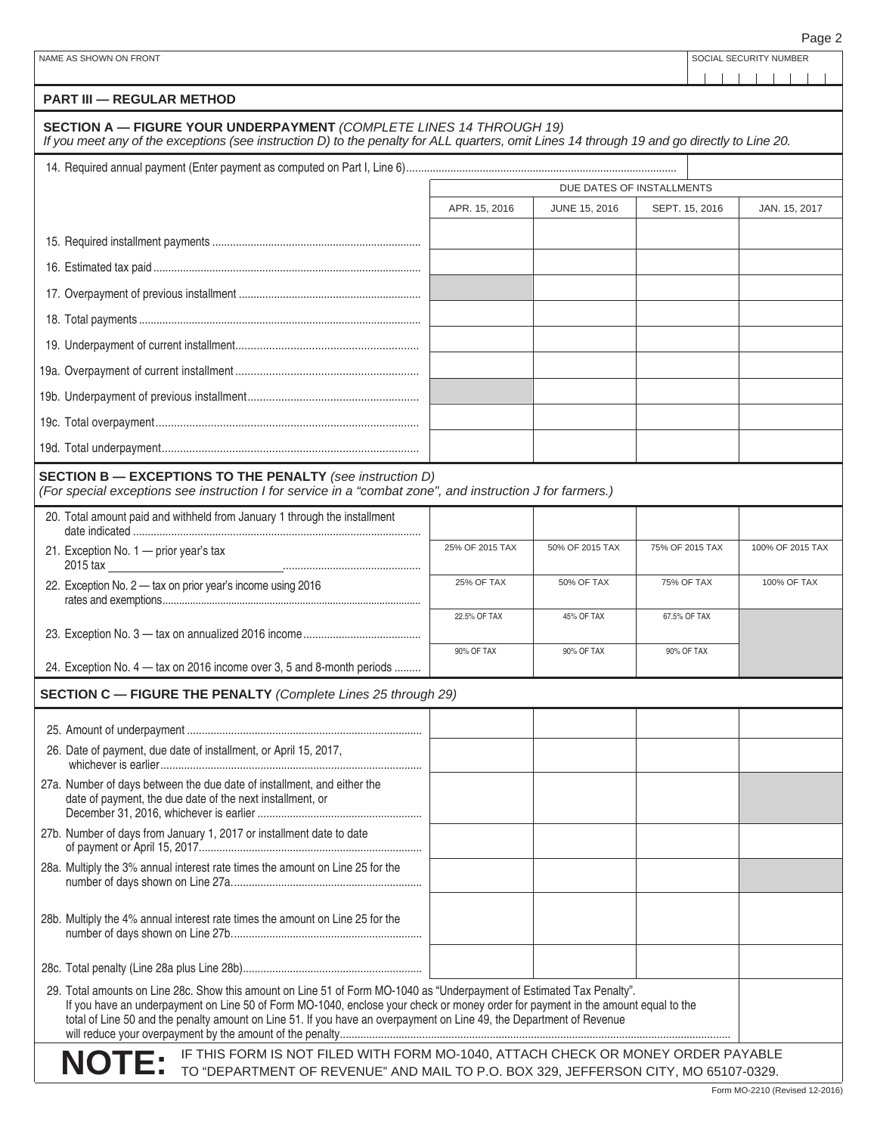| NAME AS SHOWN ON FRONT                                                                                                                                                                                                                                                                                                                                                             |                 |                      |                           | SOCIAL SECURITY NUMBER |
|------------------------------------------------------------------------------------------------------------------------------------------------------------------------------------------------------------------------------------------------------------------------------------------------------------------------------------------------------------------------------------|-----------------|----------------------|---------------------------|------------------------|
| <b>PART III - REGULAR METHOD</b>                                                                                                                                                                                                                                                                                                                                                   |                 |                      |                           |                        |
| SECTION A - FIGURE YOUR UNDERPAYMENT (COMPLETE LINES 14 THROUGH 19)<br>If you meet any of the exceptions (see instruction D) to the penalty for ALL quarters, omit Lines 14 through 19 and go directly to Line 20.                                                                                                                                                                 |                 |                      |                           |                        |
|                                                                                                                                                                                                                                                                                                                                                                                    |                 |                      |                           |                        |
|                                                                                                                                                                                                                                                                                                                                                                                    |                 |                      | DUE DATES OF INSTALLMENTS |                        |
|                                                                                                                                                                                                                                                                                                                                                                                    | APR. 15, 2016   | <b>JUNE 15, 2016</b> | SEPT. 15, 2016            | JAN. 15, 2017          |
|                                                                                                                                                                                                                                                                                                                                                                                    |                 |                      |                           |                        |
|                                                                                                                                                                                                                                                                                                                                                                                    |                 |                      |                           |                        |
|                                                                                                                                                                                                                                                                                                                                                                                    |                 |                      |                           |                        |
|                                                                                                                                                                                                                                                                                                                                                                                    |                 |                      |                           |                        |
|                                                                                                                                                                                                                                                                                                                                                                                    |                 |                      |                           |                        |
|                                                                                                                                                                                                                                                                                                                                                                                    |                 |                      |                           |                        |
|                                                                                                                                                                                                                                                                                                                                                                                    |                 |                      |                           |                        |
|                                                                                                                                                                                                                                                                                                                                                                                    |                 |                      |                           |                        |
|                                                                                                                                                                                                                                                                                                                                                                                    |                 |                      |                           |                        |
| <b>SECTION B - EXCEPTIONS TO THE PENALTY</b> (see instruction D)<br>(For special exceptions see instruction I for service in a "combat zone", and instruction J for farmers.)                                                                                                                                                                                                      |                 |                      |                           |                        |
| 20. Total amount paid and withheld from January 1 through the installment                                                                                                                                                                                                                                                                                                          |                 |                      |                           |                        |
| 21. Exception No. 1 - prior year's tax<br>2015 tax                                                                                                                                                                                                                                                                                                                                 | 25% OF 2015 TAX | 50% OF 2015 TAX      | 75% OF 2015 TAX           | 100% OF 2015 TAX       |
| 22. Exception No. 2 - tax on prior year's income using 2016                                                                                                                                                                                                                                                                                                                        | 25% OF TAX      | <b>50% OF TAX</b>    | <b>75% OF TAX</b>         | 100% OF TAX            |
|                                                                                                                                                                                                                                                                                                                                                                                    | 22.5% OF TAX    | 45% OF TAX           | 67.5% OF TAX              |                        |
| 24. Exception No. 4 - tax on 2016 income over 3, 5 and 8-month periods                                                                                                                                                                                                                                                                                                             | 90% OF TAX      | 90% OF TAX           | 90% OF TAX                |                        |
| <b>SECTION C - FIGURE THE PENALTY (Complete Lines 25 through 29)</b>                                                                                                                                                                                                                                                                                                               |                 |                      |                           |                        |
|                                                                                                                                                                                                                                                                                                                                                                                    |                 |                      |                           |                        |
| 26. Date of payment, due date of installment, or April 15, 2017,                                                                                                                                                                                                                                                                                                                   |                 |                      |                           |                        |
| 27a. Number of days between the due date of installment, and either the<br>date of payment, the due date of the next installment, or                                                                                                                                                                                                                                               |                 |                      |                           |                        |
| 27b. Number of days from January 1, 2017 or installment date to date                                                                                                                                                                                                                                                                                                               |                 |                      |                           |                        |
| 28a. Multiply the 3% annual interest rate times the amount on Line 25 for the                                                                                                                                                                                                                                                                                                      |                 |                      |                           |                        |
| 28b. Multiply the 4% annual interest rate times the amount on Line 25 for the                                                                                                                                                                                                                                                                                                      |                 |                      |                           |                        |
|                                                                                                                                                                                                                                                                                                                                                                                    |                 |                      |                           |                        |
| 29. Total amounts on Line 28c. Show this amount on Line 51 of Form MO-1040 as "Underpayment of Estimated Tax Penalty".<br>If you have an underpayment on Line 50 of Form MO-1040, enclose your check or money order for payment in the amount equal to the<br>total of Line 50 and the penalty amount on Line 51. If you have an overpayment on Line 49, the Department of Revenue |                 |                      |                           |                        |
| IF THIS FORM IS NOT FILED WITH FORM MO-1040, ATTACH CHECK OR MONEY ORDER PAYABLE<br><b>NOTE:</b><br>TO "DEPARTMENT OF REVENUE" AND MAIL TO P.O. BOX 329, JEFFERSON CITY, MO 65107-0329.                                                                                                                                                                                            |                 |                      |                           |                        |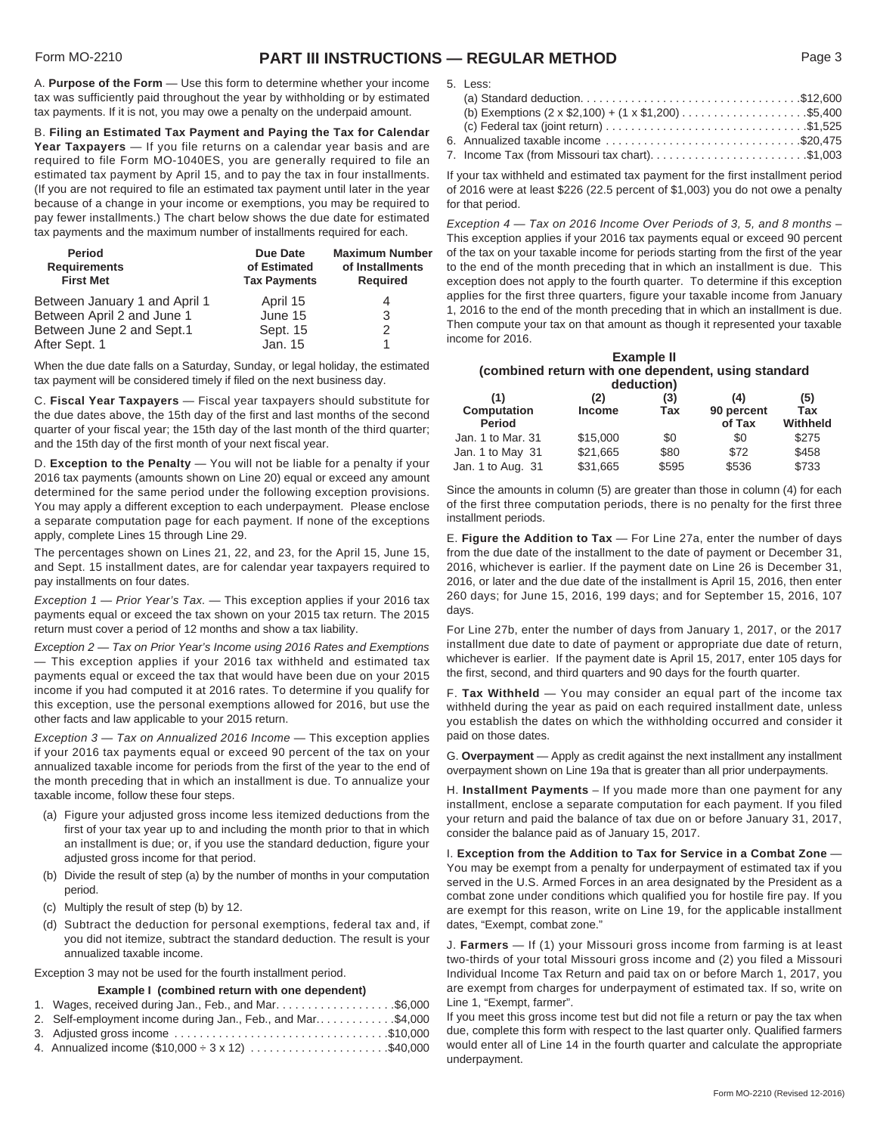## Form MO-2210 **PART III INSTRUCTIONS — REGULAR METHOD** Page 3

A. **Purpose of the Form** — Use this form to determine whether your income tax was sufficiently paid throughout the year by withholding or by estimated tax payments. If it is not, you may owe a penalty on the underpaid amount.

B. **Filing an Estimated Tax Payment and Paying the Tax for Calendar Year Taxpayers** — If you file returns on a calendar year basis and are required to file Form MO-1040ES, you are generally required to file an estimated tax payment by April 15, and to pay the tax in four installments. (If you are not required to file an estimated tax payment until later in the year because of a change in your income or exemptions, you may be required to pay fewer installments.) The chart below shows the due date for estimated tax payments and the maximum number of installments required for each.

| Period<br><b>Requirements</b><br><b>First Met</b> | Due Date<br>of Estimated<br><b>Tax Payments</b> | <b>Maximum Number</b><br>of Installments<br><b>Required</b> |
|---------------------------------------------------|-------------------------------------------------|-------------------------------------------------------------|
| Between January 1 and April 1                     | April 15                                        | 4                                                           |
| Between April 2 and June 1                        | June 15                                         | 3                                                           |
| Between June 2 and Sept.1                         | Sept. 15                                        | 2                                                           |
| After Sept. 1                                     | Jan. 15                                         | 1                                                           |

When the due date falls on a Saturday, Sunday, or legal holiday, the estimated tax payment will be considered timely if filed on the next business day.

C. **Fiscal Year Taxpayers** — Fiscal year taxpayers should substitute for the due dates above, the 15th day of the first and last months of the second quarter of your fiscal year; the 15th day of the last month of the third quarter; and the 15th day of the first month of your next fiscal year.

D. **Exception to the Penalty** — You will not be liable for a penalty if your 2016 tax payments (amounts shown on Line 20) equal or exceed any amount determined for the same period under the following exception provisions. You may apply a different exception to each underpayment. Please enclose a separate computation page for each payment. If none of the exceptions apply, complete Lines 15 through Line 29.

The percentages shown on Lines 21, 22, and 23, for the April 15, June 15, and Sept. 15 installment dates, are for calendar year taxpayers required to pay installments on four dates.

*Exception 1 — Prior Year's Tax.* — This exception applies if your 2016 tax payments equal or exceed the tax shown on your 2015 tax return. The 2015 return must cover a period of 12 months and show a tax liability.

*Exception 2 — Tax on Prior Year's Income using 2016 Rates and Exemptions* — This exception applies if your 2016 tax withheld and estimated tax payments equal or exceed the tax that would have been due on your 2015 income if you had computed it at 2016 rates. To determine if you qualify for this exception, use the personal exemptions allowed for 2016, but use the other facts and law applicable to your 2015 return.

*Exception 3 — Tax on Annualized 2016 Income* — This exception applies if your 2016 tax payments equal or exceed 90 percent of the tax on your annualized taxable income for periods from the first of the year to the end of the month preceding that in which an installment is due. To annualize your taxable income, follow these four steps.

- (a) Figure your adjusted gross income less itemized deductions from the first of your tax year up to and including the month prior to that in which an installment is due; or, if you use the standard deduction, figure your adjusted gross income for that period.
- (b) Divide the result of step (a) by the number of months in your computation period.
- (c) Multiply the result of step (b) by 12.
- (d) Subtract the deduction for personal exemptions, federal tax and, if you did not itemize, subtract the standard deduction. The result is your annualized taxable income.

Exception 3 may not be used for the fourth installment period.

#### **Example I (combined return with one dependent)**

| 1. Wages, received during Jan., Feb., and Mar\$6,000        |
|-------------------------------------------------------------|
| 2. Self-employment income during Jan., Feb., and Mar\$4,000 |
|                                                             |

4. Annualized income  $(\$10,000 \div 3 \times 12)$  ......................\$40,000

| ٧<br>۰,<br>۰.<br>×<br>۰,<br>M.<br>× |  | --- |  |
|-------------------------------------|--|-----|--|
|-------------------------------------|--|-----|--|

| (b) Exemptions $(2 \times $2,100) + (1 \times $1,200)$ \$5,400                                                   |
|------------------------------------------------------------------------------------------------------------------|
| (c) Federal tax (joint return) $\ldots \ldots \ldots \ldots \ldots \ldots \ldots \ldots \ldots \ldots$ . \$1,525 |
|                                                                                                                  |
| 7. Income Tax (from Missouri tax chart)\$1,003                                                                   |

If your tax withheld and estimated tax payment for the first installment period of 2016 were at least \$226 (22.5 percent of \$1,003) you do not owe a penalty for that period.

*Exception 4 — Tax on 2016 Income Over Periods of 3, 5, and 8 months* – This exception applies if your 2016 tax payments equal or exceed 90 percent of the tax on your taxable income for periods starting from the first of the year to the end of the month preceding that in which an installment is due. This exception does not apply to the fourth quarter. To determine if this exception applies for the first three quarters, figure your taxable income from January 1, 2016 to the end of the month preceding that in which an installment is due. Then compute your tax on that amount as though it represented your taxable income for 2016.

| Example II<br>(combined return with one dependent, using standard<br>deduction) |                      |            |                             |                        |
|---------------------------------------------------------------------------------|----------------------|------------|-----------------------------|------------------------|
| (1)<br><b>Computation</b><br><b>Period</b>                                      | (2)<br><b>Income</b> | (3)<br>Tax | (4)<br>90 percent<br>of Tax | (5)<br>Tax<br>Withheld |
| Jan. 1 to Mar. 31                                                               | \$15,000             | \$0        | \$0                         | \$275                  |
| Jan. 1 to May 31                                                                | \$21,665             | \$80       | \$72                        | \$458                  |
| Jan. 1 to Aug. 31                                                               | \$31,665             | \$595      | \$536                       | \$733                  |

Since the amounts in column (5) are greater than those in column (4) for each of the first three computation periods, there is no penalty for the first three installment periods.

E. **Figure the Addition to Tax** — For Line 27a, enter the number of days from the due date of the installment to the date of payment or December 31, 2016, whichever is earlier. If the payment date on Line 26 is December 31, 2016, or later and the due date of the installment is April 15, 2016, then enter 260 days; for June 15, 2016, 199 days; and for September 15, 2016, 107 days.

For Line 27b, enter the number of days from January 1, 2017, or the 2017 installment due date to date of payment or appropriate due date of return, whichever is earlier. If the payment date is April 15, 2017, enter 105 days for the first, second, and third quarters and 90 days for the fourth quarter.

F. **Tax Withheld** — You may consider an equal part of the income tax withheld during the year as paid on each required installment date, unless you establish the dates on which the withholding occurred and consider it paid on those dates.

G. **Overpayment** — Apply as credit against the next installment any installment overpayment shown on Line 19a that is greater than all prior underpayments.

H. **Installment Payments** – If you made more than one payment for any installment, enclose a separate computation for each payment. If you filed your return and paid the balance of tax due on or before January 31, 2017, consider the balance paid as of January 15, 2017.

I. **Exception from the Addition to Tax for Service in a Combat Zone** — You may be exempt from a penalty for underpayment of estimated tax if you served in the U.S. Armed Forces in an area designated by the President as a combat zone under conditions which qualified you for hostile fire pay. If you are exempt for this reason, write on Line 19, for the applicable installment dates, "Exempt, combat zone."

J. **Farmers** — If (1) your Missouri gross income from farming is at least two-thirds of your total Missouri gross income and (2) you filed a Missouri Individual Income Tax Return and paid tax on or before March 1, 2017, you are exempt from charges for underpayment of estimated tax. If so, write on Line 1, "Exempt, farmer".

If you meet this gross income test but did not file a return or pay the tax when due, complete this form with respect to the last quarter only. Qualified farmers would enter all of Line 14 in the fourth quarter and calculate the appropriate underpayment.